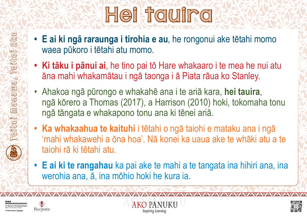**Toitoi Manawa, Toitoi Ako**

 $\text{min}$ ang

Toitoi

Toitoi ako





# Hei tauira

- **E ai ki ngā raraunga i tirohia e au**, he rongonui ake tētahi momo waea pūkoro i tētahi atu momo.
- **• Ki tāku i pānui ai**, he tino pai tō Hare whakaaro i te mea he nui atu āna mahi whakamātau i ngā taonga i ā Piata rāua ko Stanley.
- Ahakoa ngā pūrongo e whakahē ana i te ariā kara, **hei tauira**, ngā kōrero a Thomas (2017), a Harrison (2010) hoki, tokomaha tonu ngā tāngata e whakapono tonu ana ki tēnei ariā.
- **• Ka whakaahua te kaituhi** i tētahi o ngā taiohi e mataku ana i ngā 'mahi whakawehi a ōna hoa'. Nā konei ka uaua ake te whāki atu a te taiohi rā ki tētahi atu.
- **• E ai ki te rangahau** ka pai ake te mahi a te tangata ina hihiri ana, ina werohia ana, ā, ina mōhio hoki he kura ia.

YAYAYAYAYAYA

AKO PANUKU

**Inspiring Learning** 

YAYAYAYAYA

E TÂHUHU O TE MÂTAURANG.